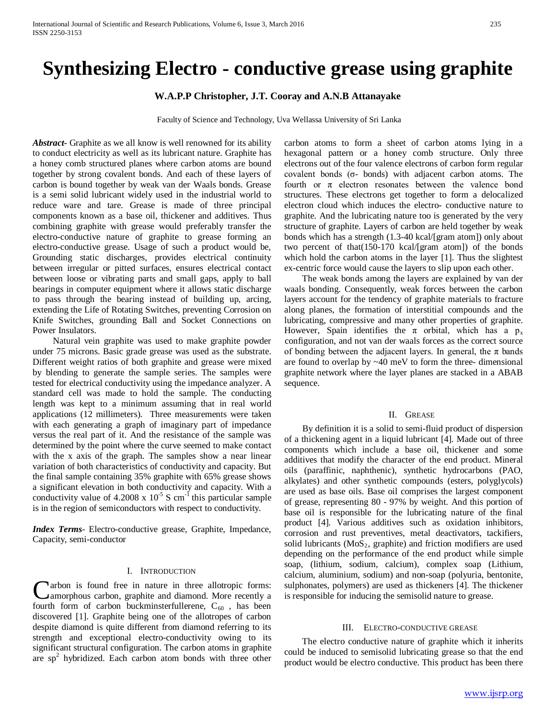# **Synthesizing Electro - conductive grease using graphite**

# **W.A.P.P Christopher, J.T. Cooray and A.N.B Attanayake**

Faculty of Science and Technology, Uva Wellassa University of Sri Lanka

*Abstract***-** Graphite as we all know is well renowned for its ability to conduct electricity as well as its lubricant nature. Graphite has a honey comb structured planes where carbon atoms are bound together by strong covalent bonds. And each of these layers of carbon is bound together by weak van der Waals bonds. Grease is a semi solid lubricant widely used in the industrial world to reduce ware and tare. Grease is made of three principal components known as a base oil, thickener and additives. Thus combining graphite with grease would preferably transfer the electro-conductive nature of graphite to grease forming an electro-conductive grease. Usage of such a product would be, Grounding static discharges, provides electrical continuity between irregular or pitted surfaces, ensures electrical contact between loose or vibrating parts and small gaps, apply to ball bearings in computer equipment where it allows static discharge to pass through the bearing instead of building up, arcing, extending the Life of Rotating Switches, preventing Corrosion on Knife Switches, grounding Ball and Socket Connections on Power Insulators.

 Natural vein graphite was used to make graphite powder under 75 microns. Basic grade grease was used as the substrate. Different weight ratios of both graphite and grease were mixed by blending to generate the sample series. The samples were tested for electrical conductivity using the impedance analyzer. A standard cell was made to hold the sample. The conducting length was kept to a minimum assuming that in real world applications (12 millimeters). Three measurements were taken with each generating a graph of imaginary part of impedance versus the real part of it. And the resistance of the sample was determined by the point where the curve seemed to make contact with the x axis of the graph. The samples show a near linear variation of both characteristics of conductivity and capacity. But the final sample containing 35% graphite with 65% grease shows a significant elevation in both conductivity and capacity. With a conductivity value of  $4.2008 \times 10^{-5}$  S cm<sup>-1</sup> this particular sample is in the region of semiconductors with respect to conductivity.

*Index Terms*- Electro-conductive grease, Graphite, Impedance, Capacity, semi-conductor

## I. INTRODUCTION

arbon is found free in nature in three allotropic forms: Carbon is found free in nature in three allotropic forms:<br>
camorphous carbon, graphite and diamond. More recently a fourth form of carbon buckminsterfullerene,  $C_{60}$ , has been discovered [1]. Graphite being one of the allotropes of carbon despite diamond is quite different from diamond referring to its strength and exceptional electro-conductivity owing to its significant structural configuration. The carbon atoms in graphite are  $sp<sup>2</sup>$  hybridized. Each carbon atom bonds with three other

carbon atoms to form a sheet of carbon atoms lying in a hexagonal pattern or a honey comb structure. Only three electrons out of the four valence electrons of carbon form regular covalent bonds (σ- bonds) with adjacent carbon atoms. The fourth or  $\pi$  electron resonates between the valence bond structures. These electrons get together to form a delocalized electron cloud which induces the electro- conductive nature to graphite. And the lubricating nature too is generated by the very structure of graphite. Layers of carbon are held together by weak bonds which has a strength (1.3-40 kcal/[gram atom]) only about two percent of that(150-170 kcal/[gram atom]) of the bonds which hold the carbon atoms in the layer [1]. Thus the slightest ex-centric force would cause the layers to slip upon each other.

 The weak bonds among the layers are explained by van der waals bonding. Consequently, weak forces between the carbon layers account for the tendency of graphite materials to fracture along planes, the formation of interstitial compounds and the lubricating, compressive and many other properties of graphite. However, Spain identifies the  $\pi$  orbital, which has a  $p_x$ configuration, and not van der waals forces as the correct source of bonding between the adjacent layers. In general, the  $\pi$  bands are found to overlap by ~40 meV to form the three- dimensional graphite network where the layer planes are stacked in a ABAB sequence.

### II. GREASE

 By definition it is a solid to semi-fluid product of dispersion of a thickening agent in a liquid lubricant [4]. Made out of three components which include a base oil, thickener and some additives that modify the character of the end product. Mineral oils (paraffinic, naphthenic), synthetic hydrocarbons (PAO, alkylates) and other synthetic compounds (esters, polyglycols) are used as base oils. Base oil comprises the largest component of grease, representing 80 - 97% by weight. And this portion of base oil is responsible for the lubricating nature of the final product [4]. Various additives such as oxidation inhibitors, corrosion and rust preventives, metal deactivators, tackifiers, solid lubricants  $(MoS<sub>2</sub>, graphite)$  and friction modifiers are used depending on the performance of the end product while simple soap, (lithium, sodium, calcium), complex soap (Lithium, calcium, aluminium, sodium) and non-soap (polyuria, bentonite, sulphonates, polymers) are used as thickeners [4]. The thickener is responsible for inducing the semisolid nature to grease.

### III. ELECTRO-CONDUCTIVE GREASE

 The electro conductive nature of graphite which it inherits could be induced to semisolid lubricating grease so that the end product would be electro conductive. This product has been there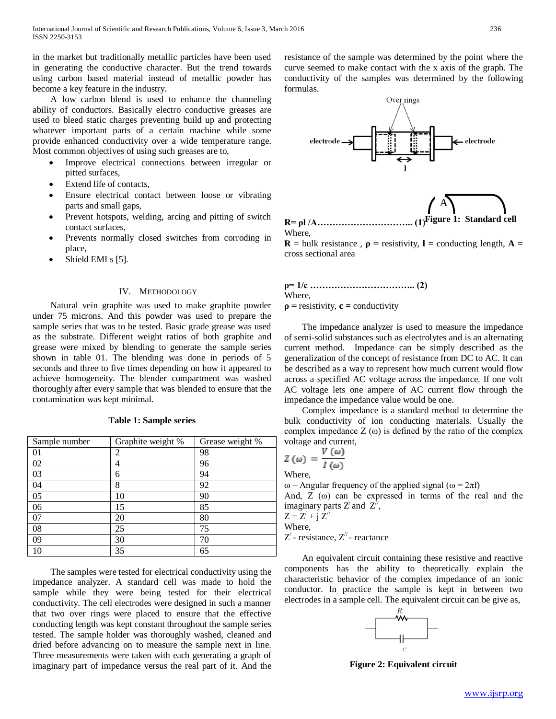in the market but traditionally metallic particles have been used in generating the conductive character. But the trend towards using carbon based material instead of metallic powder has become a key feature in the industry.

 A low carbon blend is used to enhance the channeling ability of conductors. Basically electro conductive greases are used to bleed static charges preventing build up and protecting whatever important parts of a certain machine while some provide enhanced conductivity over a wide temperature range. Most common objectives of using such greases are to,

- Improve electrical connections between irregular or pitted surfaces,
- Extend life of contacts,
- Ensure electrical contact between loose or vibrating parts and small gaps,
- Prevent hotspots, welding, arcing and pitting of switch contact surfaces,
- Prevents normally closed switches from corroding in place,
- Shield EMI s [5].

## IV. METHODOLOGY

 Natural vein graphite was used to make graphite powder under 75 microns. And this powder was used to prepare the sample series that was to be tested. Basic grade grease was used as the substrate. Different weight ratios of both graphite and grease were mixed by blending to generate the sample series shown in table 01. The blending was done in periods of 5 seconds and three to five times depending on how it appeared to achieve homogeneity. The blender compartment was washed thoroughly after every sample that was blended to ensure that the contamination was kept minimal.

| Sample number | Graphite weight % | Grease weight % |
|---------------|-------------------|-----------------|
| 01            | 2                 | 98              |
| 02            | 4                 | 96              |
| 03            | 6                 | 94              |
| 04            | 8                 | 92              |
| 05            | 10                | 90              |
| 06            | 15                | 85              |
| 07            | 20                | 80              |
| 08            | 25                | 75              |
| 09            | 30                | 70              |
| 10            | 35                | 65              |

**Table 1: Sample series**

 The samples were tested for electrical conductivity using the impedance analyzer. A standard cell was made to hold the sample while they were being tested for their electrical conductivity. The cell electrodes were designed in such a manner that two over rings were placed to ensure that the effective conducting length was kept constant throughout the sample series tested. The sample holder was thoroughly washed, cleaned and dried before advancing on to measure the sample next in line. Three measurements were taken with each generating a graph of imaginary part of impedance versus the real part of it. And the resistance of the sample was determined by the point where the curve seemed to make contact with the x axis of the graph. The conductivity of the samples was determined by the following formulas.



**R= ρl /A………………………….. (1)** Where, **Figure 1: Standard cell**

**R** = bulk resistance,  $\rho$  = resistivity, **l** = conducting length, **A** = cross sectional area

**ρ= 1/c …………………………….. (2)** Where,  $\rho$  = resistivity,  $c$  = conductivity

 The impedance analyzer is used to measure the impedance of semi-solid substances such as electrolytes and is an alternating current method. Impedance can be simply described as the generalization of the concept of resistance from DC to AC. It can be described as a way to represent how much current would flow across a specified AC voltage across the impedance. If one volt AC voltage lets one ampere of AC current flow through the impedance the impedance value would be one.

 Complex impedance is a standard method to determine the bulk conductivity of ion conducting materials. Usually the complex impedance  $Z(\omega)$  is defined by the ratio of the complex voltage and current,

$$
Z(\omega) = \frac{V(\omega)}{I(\omega)}
$$

Where,

ω – Angular frequency of the applied signal ( $ω = 2πf$ ) And,  $Z(\omega)$  can be expressed in terms of the real and the imaginary parts Z' and  $Z^{\mathbb{N}}$ ,

 $Z = Z' + i Z''$ Where,

 $Z'$  - resistance,  $Z''$  - reactance

 An equivalent circuit containing these resistive and reactive components has the ability to theoretically explain the characteristic behavior of the complex impedance of an ionic conductor. In practice the sample is kept in between two electrodes in a sample cell. The equivalent circuit can be give as,



**Figure 2: Equivalent circuit**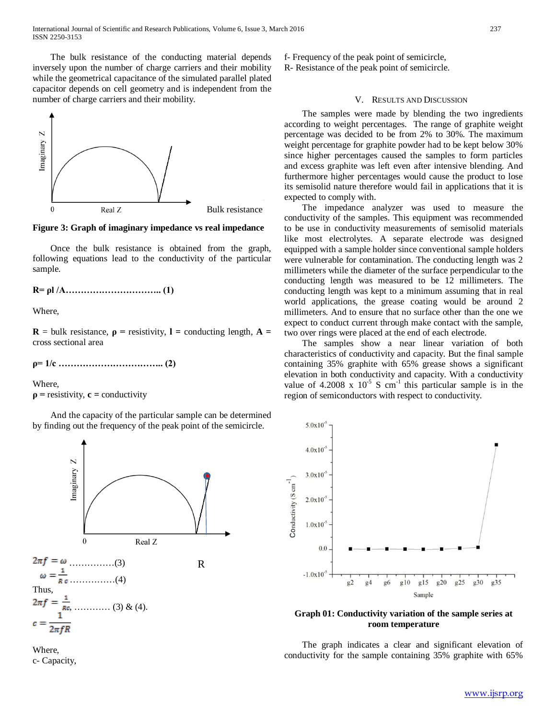The bulk resistance of the conducting material depends inversely upon the number of charge carriers and their mobility while the geometrical capacitance of the simulated parallel plated capacitor depends on cell geometry and is independent from the number of charge carriers and their mobility.



**Figure 3: Graph of imaginary impedance vs real impedance**

 Once the bulk resistance is obtained from the graph, following equations lead to the conductivity of the particular sample.

**R= ρl /A………………………….. (1)**

Where,

**R** = bulk resistance,  $\rho$  = resistivity, **l** = conducting length, **A** = cross sectional area

**ρ= 1/c …………………………….. (2)**

Where,

 $\rho$  = resistivity, **c** = conductivity

 And the capacity of the particular sample can be determined by finding out the frequency of the peak point of the semicircle.



Where, c- Capacity, f- Frequency of the peak point of semicircle, R- Resistance of the peak point of semicircle.

## V. RESULTS AND DISCUSSION

 The samples were made by blending the two ingredients according to weight percentages. The range of graphite weight percentage was decided to be from 2% to 30%. The maximum weight percentage for graphite powder had to be kept below 30% since higher percentages caused the samples to form particles and excess graphite was left even after intensive blending. And furthermore higher percentages would cause the product to lose its semisolid nature therefore would fail in applications that it is expected to comply with.

 The impedance analyzer was used to measure the conductivity of the samples. This equipment was recommended to be use in conductivity measurements of semisolid materials like most electrolytes. A separate electrode was designed equipped with a sample holder since conventional sample holders were vulnerable for contamination. The conducting length was 2 millimeters while the diameter of the surface perpendicular to the conducting length was measured to be 12 millimeters. The conducting length was kept to a minimum assuming that in real world applications, the grease coating would be around 2 millimeters. And to ensure that no surface other than the one we expect to conduct current through make contact with the sample, two over rings were placed at the end of each electrode.

 The samples show a near linear variation of both characteristics of conductivity and capacity. But the final sample containing 35% graphite with 65% grease shows a significant elevation in both conductivity and capacity. With a conductivity value of 4.2008 x  $10^{-5}$  S cm<sup>-1</sup> this particular sample is in the region of semiconductors with respect to conductivity.



**Graph 01: Conductivity variation of the sample series at room temperature**

 The graph indicates a clear and significant elevation of conductivity for the sample containing 35% graphite with 65%